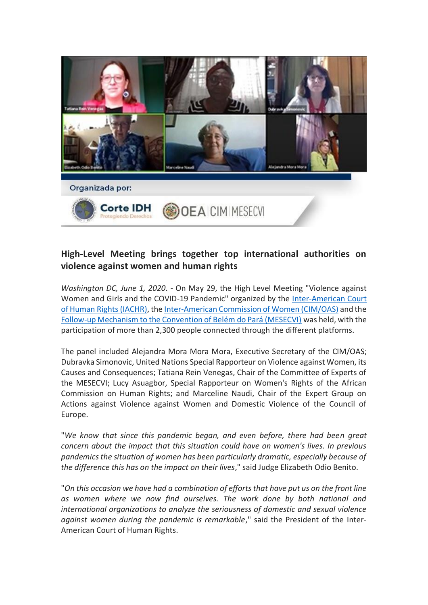

## **High-Level Meeting brings together top international authorities on violence against women and human rights**

*Washington DC, June 1, 2020*. - On May 29, the High Level Meeting "Violence against Women and Girls and the COVID-19 Pandemic" organized by the [Inter-American Court](http://www.corteidh.or.cr/index.cfm)  [of Human Rights \(IACHR\),](http://www.corteidh.or.cr/index.cfm) th[e Inter-American Commission of Women \(CIM/OAS\)](http://www.oas.org/es/CIM/default.asp) and the [Follow-up Mechanism to the Convention of Belém do Pará \(MESECVI\)](http://www.oas.org/es/mesecvi/) was held, with the participation of more than 2,300 people connected through the different platforms.

The panel included Alejandra Mora Mora Mora, Executive Secretary of the CIM/OAS; Dubravka Simonovic, United Nations Special Rapporteur on Violence against Women, its Causes and Consequences; Tatiana Rein Venegas, Chair of the Committee of Experts of the MESECVI; Lucy Asuagbor, Special Rapporteur on Women's Rights of the African Commission on Human Rights; and Marceline Naudi, Chair of the Expert Group on Actions against Violence against Women and Domestic Violence of the Council of Europe.

"*We know that since this pandemic began, and even before, there had been great concern about the impact that this situation could have on women's lives. In previous pandemics the situation of women has been particularly dramatic, especially because of the difference this has on the impact on their lives*," said Judge Elizabeth Odio Benito.

"*On this occasion we have had a combination of efforts that have put us on the front line as women where we now find ourselves. The work done by both national and international organizations to analyze the seriousness of domestic and sexual violence against women during the pandemic is remarkable*," said the President of the Inter-American Court of Human Rights.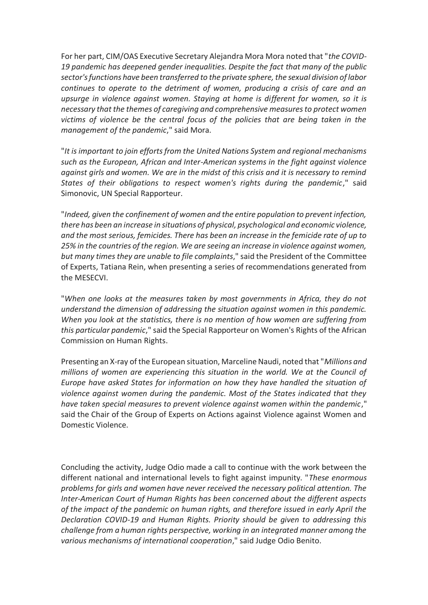For her part, CIM/OAS Executive Secretary Alejandra Mora Mora noted that "*the COVID-19 pandemic has deepened gender inequalities. Despite the fact that many of the public sector's functions have been transferred to the private sphere, the sexual division of labor continues to operate to the detriment of women, producing a crisis of care and an upsurge in violence against women. Staying at home is different for women, so it is necessary that the themes of caregiving and comprehensive measures to protect women victims of violence be the central focus of the policies that are being taken in the management of the pandemic*," said Mora.

"*It is important to join efforts from the United Nations System and regional mechanisms such as the European, African and Inter-American systems in the fight against violence against girls and women. We are in the midst of this crisis and it is necessary to remind States of their obligations to respect women's rights during the pandemic*," said Simonovic, UN Special Rapporteur.

"*Indeed, given the confinement of women and the entire population to prevent infection, there has been an increase in situations of physical, psychological and economic violence, and the most serious, femicides. There has been an increase in the femicide rate of up to 25% in the countries of the region. We are seeing an increase in violence against women, but many times they are unable to file complaints*," said the President of the Committee of Experts, Tatiana Rein, when presenting a series of recommendations generated from the MESECVI.

"*When one looks at the measures taken by most governments in Africa, they do not understand the dimension of addressing the situation against women in this pandemic. When you look at the statistics, there is no mention of how women are suffering from this particular pandemic*," said the Special Rapporteur on Women's Rights of the African Commission on Human Rights.

Presenting an X-ray of the European situation, Marceline Naudi, noted that "*Millions and millions of women are experiencing this situation in the world. We at the Council of Europe have asked States for information on how they have handled the situation of violence against women during the pandemic. Most of the States indicated that they have taken special measures to prevent violence against women within the pandemic*," said the Chair of the Group of Experts on Actions against Violence against Women and Domestic Violence.

Concluding the activity, Judge Odio made a call to continue with the work between the different national and international levels to fight against impunity. "*These enormous problems for girls and women have never received the necessary political attention. The Inter-American Court of Human Rights has been concerned about the different aspects of the impact of the pandemic on human rights, and therefore issued in early April the Declaration COVID-19 and Human Rights. Priority should be given to addressing this challenge from a human rights perspective, working in an integrated manner among the various mechanisms of international cooperation*," said Judge Odio Benito.